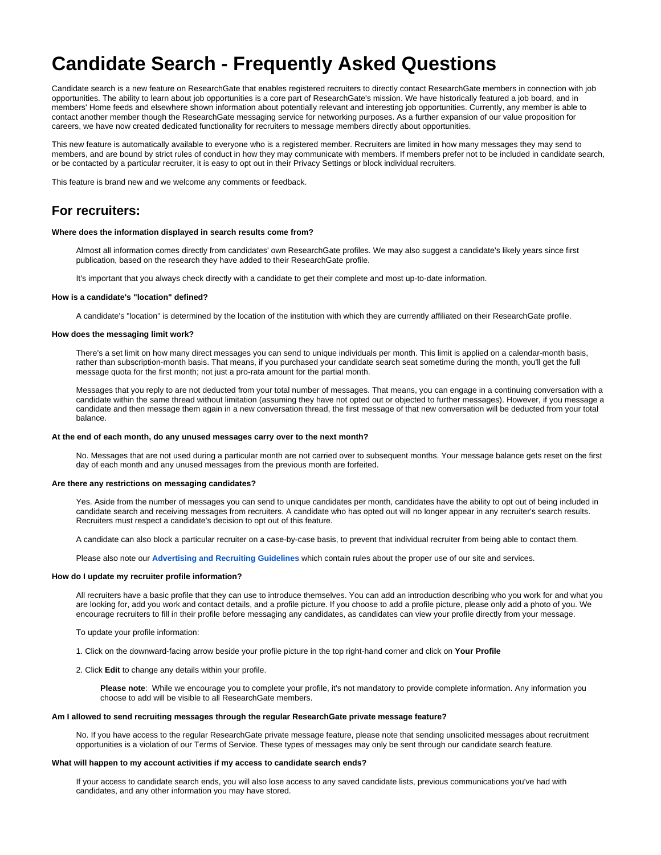# **Candidate Search - Frequently Asked Questions**

Candidate search is a new feature on ResearchGate that enables registered recruiters to directly contact ResearchGate members in connection with job opportunities. The ability to learn about job opportunities is a core part of ResearchGate's mission. We have historically featured a job board, and in members' Home feeds and elsewhere shown information about potentially relevant and interesting job opportunities. Currently, any member is able to contact another member though the ResearchGate messaging service for networking purposes. As a further expansion of our value proposition for careers, we have now created dedicated functionality for recruiters to message members directly about opportunities.

This new feature is automatically available to everyone who is a registered member. Recruiters are limited in how many messages they may send to members, and are bound by strict rules of conduct in how they may communicate with members. If members prefer not to be included in candidate search, or be contacted by a particular recruiter, it is easy to opt out in their Privacy Settings or block individual recruiters.

This feature is brand new and we welcome any comments or feedback.

# **For recruiters:**

#### **Where does the information displayed in search results come from?**

Almost all information comes directly from candidates' own ResearchGate profiles. We may also suggest a candidate's likely years since first publication, based on the research they have added to their ResearchGate profile.

It's important that you always check directly with a candidate to get their complete and most up-to-date information.

#### **How is a candidate's "location" defined?**

A candidate's "location" is determined by the location of the institution with which they are currently affiliated on their ResearchGate profile.

# **How does the messaging limit work?**

There's a set limit on how many direct messages you can send to unique individuals per month. This limit is applied on a calendar-month basis, rather than subscription-month basis. That means, if you purchased your candidate search seat sometime during the month, you'll get the full message quota for the first month; not just a pro-rata amount for the partial month.

Messages that you reply to are not deducted from your total number of messages. That means, you can engage in a continuing conversation with a candidate within the same thread without limitation (assuming they have not opted out or objected to further messages). However, if you message a candidate and then message them again in a new conversation thread, the first message of that new conversation will be deducted from your total balance.

#### **At the end of each month, do any unused messages carry over to the next month?**

No. Messages that are not used during a particular month are not carried over to subsequent months. Your message balance gets reset on the first day of each month and any unused messages from the previous month are forfeited.

#### **Are there any restrictions on messaging candidates?**

Yes. Aside from the number of messages you can send to unique candidates per month, candidates have the ability to opt out of being included in candidate search and receiving messages from recruiters. A candidate who has opted out will no longer appear in any recruiter's search results. Recruiters must respect a candidate's decision to opt out of this feature.

A candidate can also block a particular recruiter on a case-by-case basis, to prevent that individual recruiter from being able to contact them.

Please also note our **[Advertising and Recruiting Guidelines](https://solutions.researchgate.net/legal/advertising-guidelines/)** which contain rules about the proper use of our site and services.

# **How do I update my recruiter profile information?**

All recruiters have a basic profile that they can use to introduce themselves. You can add an introduction describing who you work for and what you are looking for, add you work and contact details, and a profile picture. If you choose to add a profile picture, please only add a photo of you. We encourage recruiters to fill in their profile before messaging any candidates, as candidates can view your profile directly from your message.

To update your profile information:

1. Click on the downward-facing arrow beside your profile picture in the top right-hand corner and click on **Your Profile**

2. Click **Edit** to change any details within your profile.

**Please note**: While we encourage you to complete your profile, it's not mandatory to provide complete information. Any information you choose to add will be visible to all ResearchGate members.

# **Am I allowed to send recruiting messages through the regular ResearchGate private message feature?**

No. If you have access to the regular ResearchGate private message feature, please note that sending unsolicited messages about recruitment opportunities is a violation of our Terms of Service. These types of messages may only be sent through our candidate search feature.

#### **What will happen to my account activities if my access to candidate search ends?**

If your access to candidate search ends, you will also lose access to any saved candidate lists, previous communications you've had with candidates, and any other information you may have stored.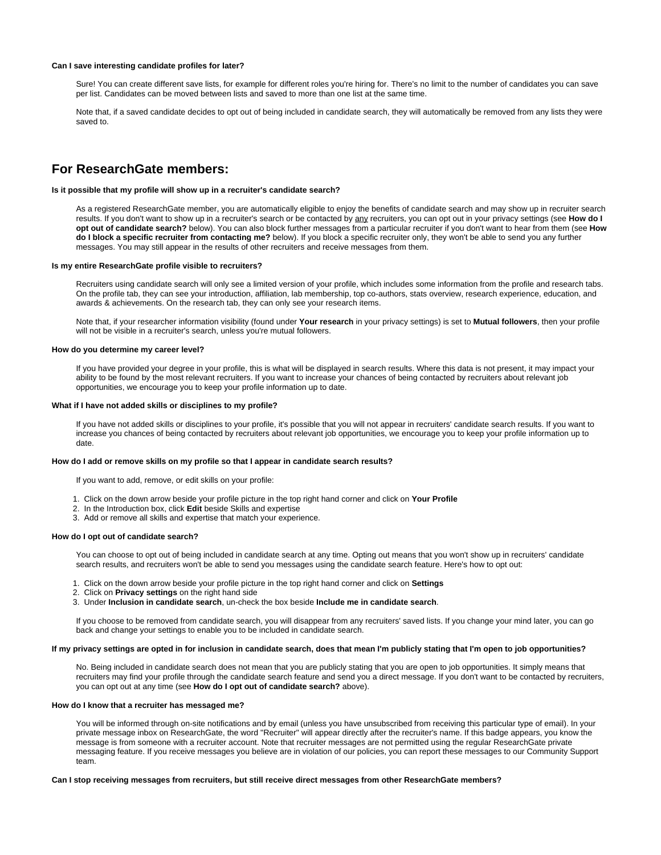# **Can I save interesting candidate profiles for later?**

Sure! You can create different save lists, for example for different roles you're hiring for. There's no limit to the number of candidates you can save per list. Candidates can be moved between lists and saved to more than one list at the same time.

Note that, if a saved candidate decides to opt out of being included in candidate search, they will automatically be removed from any lists they were saved to.

# **For ResearchGate members:**

# **Is it possible that my profile will show up in a recruiter's candidate search?**

As a registered ResearchGate member, you are automatically eligible to enjoy the benefits of candidate search and may show up in recruiter search results. If you don't want to show up in a recruiter's search or be contacted by any recruiters, you can opt out in your privacy settings (see **How do I opt out of candidate search?** below). You can also block further messages from a particular recruiter if you don't want to hear from them (see **How do I block a specific recruiter from contacting me?** below). If you block a specific recruiter only, they won't be able to send you any further messages. You may still appear in the results of other recruiters and receive messages from them.

### **Is my entire ResearchGate profile visible to recruiters?**

Recruiters using candidate search will only see a limited version of your profile, which includes some information from the profile and research tabs. On the profile tab, they can see your introduction, affiliation, lab membership, top co-authors, stats overview, research experience, education, and awards & achievements. On the research tab, they can only see your research items.

Note that, if your researcher information visibility (found under **Your research** in your privacy settings) is set to **Mutual followers**, then your profile will not be visible in a recruiter's search, unless you're mutual followers.

# **How do you determine my career level?**

If you have provided your degree in your profile, this is what will be displayed in search results. Where this data is not present, it may impact your ability to be found by the most relevant recruiters. If you want to increase your chances of being contacted by recruiters about relevant job opportunities, we encourage you to keep your profile information up to date.

#### **What if I have not added skills or disciplines to my profile?**

If you have not added skills or disciplines to your profile, it's possible that you will not appear in recruiters' candidate search results. If you want to increase you chances of being contacted by recruiters about relevant job opportunities, we encourage you to keep your profile information up to date.

## **How do I add or remove skills on my profile so that I appear in candidate search results?**

If you want to add, remove, or edit skills on your profile:

- 1. Click on the down arrow beside your profile picture in the top right hand corner and click on **Your Profile**
- 2. In the Introduction box, click **Edit** beside Skills and expertise
- 3. Add or remove all skills and expertise that match your experience.

# **How do I opt out of candidate search?**

You can choose to opt out of being included in candidate search at any time. Opting out means that you won't show up in recruiters' candidate search results, and recruiters won't be able to send you messages using the candidate search feature. Here's how to opt out:

- 1. Click on the down arrow beside your profile picture in the top right hand corner and click on **Settings**
- 2. Click on **Privacy settings** on the right hand side
- 3. Under **Inclusion in candidate search**, un-check the box beside **Include me in candidate search**.

If you choose to be removed from candidate search, you will disappear from any recruiters' saved lists. If you change your mind later, you can go back and change your settings to enable you to be included in candidate search.

#### **If my privacy settings are opted in for inclusion in candidate search, does that mean I'm publicly stating that I'm open to job opportunities?**

No. Being included in candidate search does not mean that you are publicly stating that you are open to job opportunities. It simply means that recruiters may find your profile through the candidate search feature and send you a direct message. If you don't want to be contacted by recruiters, you can opt out at any time (see **How do I opt out of candidate search?** above).

## **How do I know that a recruiter has messaged me?**

You will be informed through on-site notifications and by email (unless you have unsubscribed from receiving this particular type of email). In your private message inbox on ResearchGate, the word "Recruiter" will appear directly after the recruiter's name. If this badge appears, you know the message is from someone with a recruiter account. Note that recruiter messages are not permitted using the regular ResearchGate private messaging feature. If you receive messages you believe are in violation of our policies, you can report these messages to our Community Support team.

#### **Can I stop receiving messages from recruiters, but still receive direct messages from other ResearchGate members?**